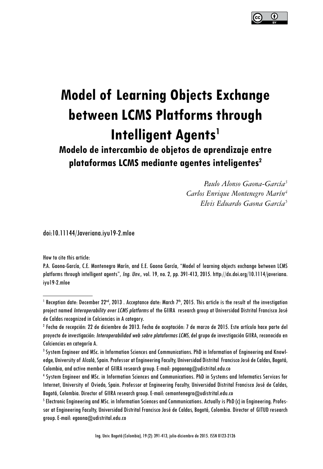

# **Model of Learning Objects Exchange between LCMS Platforms through Intelligent Agents<sup>1</sup>**

## **Modelo de intercambio de objetos de aprendizaje entre plataformas LCMS mediante agentes inteligentes2**

*Paulo Alonso Gaona-García3 Carlos Enrique Montenegro Marín4 Elvis Eduardo Gaona García5*

doi:10.11144/Javeriana.iyu19-2.mloe

How to cite this article:

P.A. Gaona-García, C.E. Montenegro Marín, and E.E. Gaona García, "Model of learning objects exchange between LCMS platforms through intelligent agents", Ing. Unv., vol. 19, no. 2, pp. 391-413, 2015. http://dx.doi.org/10.1114/javeriana. iyu19-2.mloe

 $^{\rm l}$  Reception date: December 22nd, 2013 . Acceptance date: March 7th, 2015. This article is the result of the investigation project named Interoperability over LCMS platforms of the GIIRA research group at Universidad Distrital Francisco José de Caldas recognized in Colciencias in A category.

<sup>2</sup> Fecha de recepción: 22 de diciembre de 2013. Fecha de aceptación: 7 de marzo de 2015. Este artículo hace parte del proyecto de investigación: Interoperabilidad web sobre plataformas LCMS, del grupo de investigación GIIRA, reconocido en Colciencias en categoría A.

<sup>3</sup> System Engineer and MSc. in Information Sciences and Communications. PhD in Information of Engineering and Knowledge, University of Alcalá, Spain. Professor at Engineering Faculty, Universidad Distrital Francisco José de Caldas, Bogotá, Colombia, and active member of GIIRA research group. E-mail: pagaonag@udistrital.edu.co

<sup>4</sup> System Engineer and MSc. in Information Sciences and Communications. PhD in Systems and Informatics Services for Internet, University of Oviedo, Spain. Professor at Engineering Faculty, Universidad Distrital Francisco José de Caldas, Bogotá, Colombia. Director of GIIRA research group. E-mail: cemontenegro@udistrital.edu.co

<sup>&</sup>lt;sup>5</sup> Electronic Engineering and MSc. in Information Sciences and Communications. Actually is PhD (c) in Engineering. Professor at Engineering Faculty, Universidad Distrital Francisco José de Caldas, Bogotá, Colombia. Director of GITUD research group. E-mail: egaona@udistrital.edu.co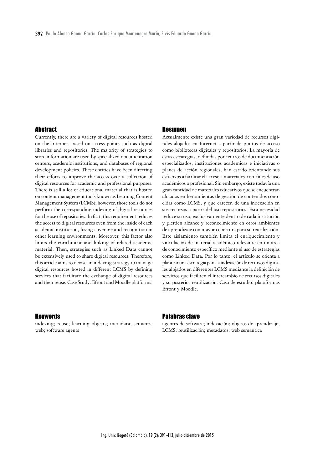#### **Abstract**

Currently, there are a variety of digital resources hosted on the Internet, based on access points such as digital libraries and repositories. The majority of strategies to store information are used by specialized documentation centers, academic institutions, and databases of regional development policies. These entities have been directing their efforts to improve the access over a collection of digital resources for academic and professional purposes. There is still a lot of educational material that is hosted on content management tools known as Learning Content Management System (LCMS); however, those tools do not perform the corresponding indexing of digital resources for the use of repositories. In fact, this requirement reduces the access to digital resources even from the inside of each academic institution, losing coverage and recognition in other learning environments. Moreover, this factor also limits the enrichment and linking of related academic material. Then, strategies such as Linked Data cannot be extensively used to share digital resources. Therefore, this article aims to devise an indexing strategy to manage digital resources hosted in different LCMS by defining services that facilitate the exchange of digital resources and their reuse. Case Study: Efront and Moodle platforms.

#### Keywords

indexing; reuse; learning objects; metadata; semantic web; software agents

#### Resumen

Actualmente existe una gran variedad de recursos digitales alojados en Internet a partir de puntos de acceso como bibliotecas digitales y repositorios. La mayoría de estas estrategias, definidas por centros de documentación especializados, instituciones académicas e iniciativas o planes de acción regionales, han estado orientando sus esfuerzos a facilitar el acceso a materiales con fines de uso académicos o profesional. Sin embargo, existe todavía una gran cantidad de materiales educativos que se encuentran alojados en herramientas de gestión de contenidos conocidas como LCMS, y que carecen de una indexación en sus recursos a partir del uso repositorios. Esta necesidad reduce su uso, exclusivamente dentro de cada institución y pierden alcance y reconocimiento en otros ambientes de aprendizaje con mayor cobertura para su reutilización. Este aislamiento también limita el enriquecimiento y vinculación de material académico relevante en un área de conocimiento específico mediante el uso de estrategias como Linked Data. Por lo tanto, el artículo se orienta a plantear una estrategia para la indexación de recursos digitales alojados en diferentes LCMS mediante la definición de servicios que faciliten el intercambio de recursos digitales y su posterior reutilización. Caso de estudio: plataformas Efront y Moodle.

#### Palabras clave

agentes de software; indexación; objetos de aprendizaje; LCMS; reutilización; metadatos; web semántica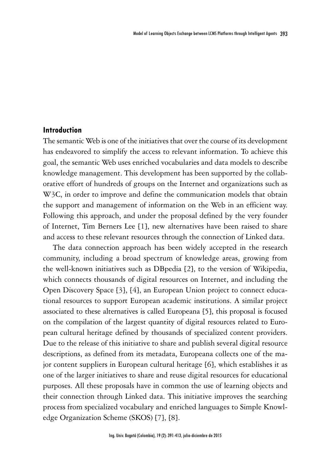#### **Introduction**

The semantic Web is one of the initiatives that over the course of its development has endeavored to simplify the access to relevant information. To achieve this goal, the semantic Web uses enriched vocabularies and data models to describe knowledge management. This development has been supported by the collaborative effort of hundreds of groups on the Internet and organizations such as W3C, in order to improve and define the communication models that obtain the support and management of information on the Web in an efficient way. Following this approach, and under the proposal defined by the very founder of Internet, Tim Berners Lee [1], new alternatives have been raised to share and access to these relevant resources through the connection of Linked data.

The data connection approach has been widely accepted in the research community, including a broad spectrum of knowledge areas, growing from the well-known initiatives such as DBpedia [2], to the version of Wikipedia, which connects thousands of digital resources on Internet, and including the Open Discovery Space [3], [4], an European Union project to connect educational resources to support European academic institutions. A similar project associated to these alternatives is called Europeana [5], this proposal is focused on the compilation of the largest quantity of digital resources related to European cultural heritage defined by thousands of specialized content providers. Due to the release of this initiative to share and publish several digital resource descriptions, as defined from its metadata, Europeana collects one of the major content suppliers in European cultural heritage [6], which establishes it as one of the larger initiatives to share and reuse digital resources for educational purposes. All these proposals have in common the use of learning objects and their connection through Linked data. This initiative improves the searching process from specialized vocabulary and enriched languages to Simple Knowledge Organization Scheme (SKOS) [7], [8].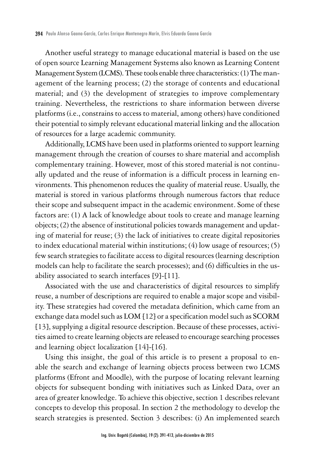Another useful strategy to manage educational material is based on the use of open source Learning Management Systems also known as Learning Content Management System (LCMS). These tools enable three characteristics: (1) The management of the learning process; (2) the storage of contents and educational material; and (3) the development of strategies to improve complementary training. Nevertheless, the restrictions to share information between diverse platforms (i.e., constrains to access to material, among others) have conditioned their potential to simply relevant educational material linking and the allocation of resources for a large academic community.

Additionally, LCMS have been used in platforms oriented to support learning management through the creation of courses to share material and accomplish complementary training. However, most of this stored material is not continually updated and the reuse of information is a difficult process in learning environments. This phenomenon reduces the quality of material reuse. Usually, the material is stored in various platforms through numerous factors that reduce their scope and subsequent impact in the academic environment. Some of these factors are: (1) A lack of knowledge about tools to create and manage learning objects; (2) the absence of institutional policies towards management and updating of material for reuse; (3) the lack of initiatives to create digital repositories to index educational material within institutions; (4) low usage of resources; (5) few search strategies to facilitate access to digital resources (learning description models can help to facilitate the search processes); and (6) difficulties in the usability associated to search interfaces [9]-[11].

Associated with the use and characteristics of digital resources to simplify reuse, a number of descriptions are required to enable a major scope and visibility. These strategies had covered the metadata definition, which came from an exchange data model such as LOM [12] or a specification model such as SCORM [13], supplying a digital resource description. Because of these processes, activities aimed to create learning objects are released to encourage searching processes and learning object localization [14]-[16].

Using this insight, the goal of this article is to present a proposal to enable the search and exchange of learning objects process between two LCMS platforms (Efront and Moodle), with the purpose of locating relevant learning objects for subsequent bonding with initiatives such as Linked Data, over an area of greater knowledge. To achieve this objective, section 1 describes relevant concepts to develop this proposal. In section 2 the methodology to develop the search strategies is presented. Section 3 describes: (i) An implemented search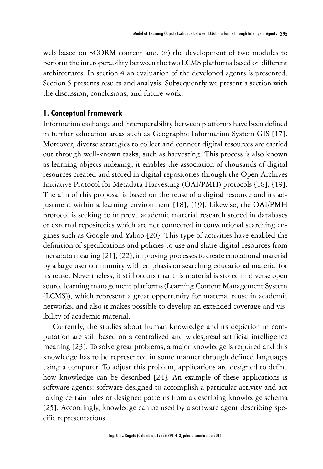web based on SCORM content and, (ii) the development of two modules to perform the interoperability between the two LCMS platforms based on different architectures. In section 4 an evaluation of the developed agents is presented. Section 5 presents results and analysis. Subsequently we present a section with the discussion, conclusions, and future work.

#### **1. Conceptual Framework**

Information exchange and interoperability between platforms have been defined in further education areas such as Geographic Information System GIS [17]. Moreover, diverse strategies to collect and connect digital resources are carried out through well-known tasks, such as harvesting. This process is also known as learning objects indexing; it enables the association of thousands of digital resources created and stored in digital repositories through the Open Archives Initiative Protocol for Metadata Harvesting (OAI/PMH) protocols [18], [19]. The aim of this proposal is based on the reuse of a digital resource and its adjustment within a learning environment [18], [19]. Likewise, the OAI/PMH protocol is seeking to improve academic material research stored in databases or external repositories which are not connected in conventional searching engines such as Google and Yahoo [20]. This type of activities have enabled the definition of specifications and policies to use and share digital resources from metadata meaning [21], [22]; improving processes to create educational material by a large user community with emphasis on searching educational material for its reuse. Nevertheless, it still occurs that this material is stored in diverse open source learning management platforms (Learning Content Management System [LCMS]), which represent a great opportunity for material reuse in academic networks, and also it makes possible to develop an extended coverage and visibility of academic material.

Currently, the studies about human knowledge and its depiction in computation are still based on a centralized and widespread artificial intelligence meaning [23]. To solve great problems, a major knowledge is required and this knowledge has to be represented in some manner through defined languages using a computer. To adjust this problem, applications are designed to define how knowledge can be described [24]. An example of these applications is software agents: software designed to accomplish a particular activity and act taking certain rules or designed patterns from a describing knowledge schema [25]. Accordingly, knowledge can be used by a software agent describing specific representations.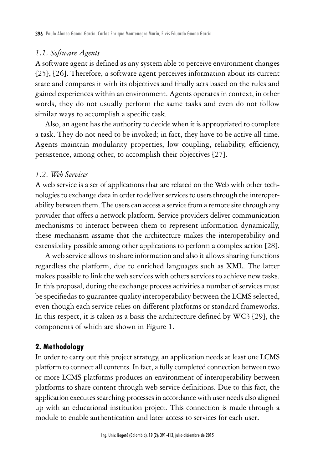#### *1.1. Software Agents*

A software agent is defined as any system able to perceive environment changes [25], [26]. Therefore, a software agent perceives information about its current state and compares it with its objectives and finally acts based on the rules and gained experiences within an environment. Agents operates in context, in other words, they do not usually perform the same tasks and even do not follow similar ways to accomplish a specific task.

Also, an agent has the authority to decide when it is appropriated to complete a task. They do not need to be invoked; in fact, they have to be active all time. Agents maintain modularity properties, low coupling, reliability, efficiency, persistence, among other, to accomplish their objectives [27].

#### *1.2. Web Services*

A web service is a set of applications that are related on the Web with other technologies to exchange data in order to deliver services to users through the interoperability between them. The users can access a service from a remote site through any provider that offers a network platform. Service providers deliver communication mechanisms to interact between them to represent information dynamically, these mechanism assume that the architecture makes the interoperability and extensibility possible among other applications to perform a complex action [28].

A web service allows to share information and also it allows sharing functions regardless the platform, due to enriched languages such as XML. The latter makes possible to link the web services with others services to achieve new tasks. In this proposal, during the exchange process activities a number of services must be specifiedas to guarantee quality interoperability between the LCMS selected, even though each service relies on different platforms or standard frameworks. In this respect, it is taken as a basis the architecture defined by WC3 [29], the components of which are shown in Figure 1.

#### **2. Methodology**

In order to carry out this project strategy, an application needs at least one LCMS platform to connect all contents. In fact, a fully completed connection between two or more LCMS platforms produces an environment of interoperability between platforms to share content through web service definitions. Due to this fact, the application executes searching processes in accordance with user needs also aligned up with an educational institution project. This connection is made through a module to enable authentication and later access to services for each user**.**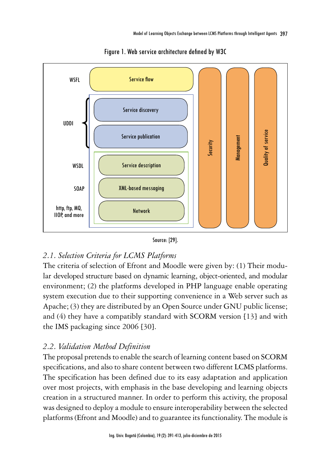

Figure 1. Web service architecture defined by W3C



## *2.1. Selection Criteria for LCMS Platforms*

The criteria of selection of Efront and Moodle were given by: (1) Their modular developed structure based on dynamic learning, object-oriented, and modular environment; (2) the platforms developed in PHP language enable operating system execution due to their supporting convenience in a Web server such as Apache; (3) they are distributed by an Open Source under GNU public license; and (4) they have a compatibly standard with SCORM version [13] and with the IMS packaging since 2006 [30].

## *2.2. Validation Method Definition*

The proposal pretends to enable the search of learning content based on SCORM specifications, and also to share content between two different LCMS platforms. The specification has been defined due to its easy adaptation and application over most projects, with emphasis in the base developing and learning objects creation in a structured manner. In order to perform this activity, the proposal was designed to deploy a module to ensure interoperability between the selected platforms (Efront and Moodle) and to guarantee its functionality. The module is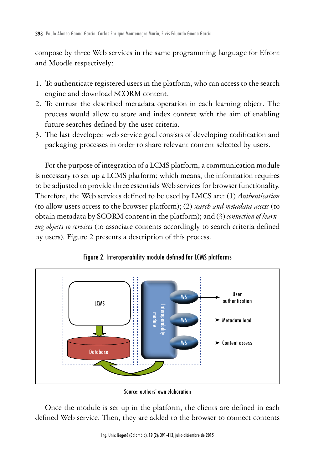compose by three Web services in the same programming language for Efront and Moodle respectively:

- 1. To authenticate registered users in the platform, who can access to the search engine and download SCORM content.
- 2. To entrust the described metadata operation in each learning object. The process would allow to store and index context with the aim of enabling future searches defined by the user criteria.
- 3. The last developed web service goal consists of developing codification and packaging processes in order to share relevant content selected by users.

For the purpose of integration of a LCMS platform, a communication module is necessary to set up a LCMS platform; which means, the information requires to be adjusted to provide three essentials Web services for browser functionality. Therefore, the Web services defined to be used by LMCS are: (1) *Authentication*  (to allow users access to the browser platform); (2) *search and metadata access* (to obtain metadata by SCORM content in the platform); and (3) *connection of learning objects to services* (to associate contents accordingly to search criteria defined by users). Figure 2 presents a description of this process.



#### Figure 2. Interoperability module defined for LCMS platforms

Once the module is set up in the platform, the clients are defined in each defined Web service. Then, they are added to the browser to connect contents

Source: authors' own elaboration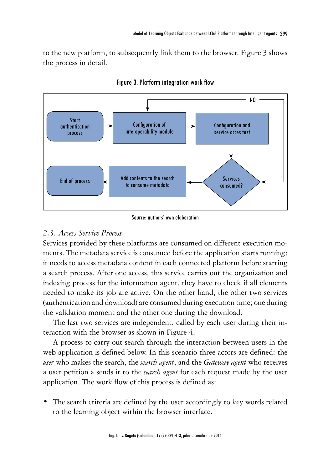to the new platform, to subsequently link them to the browser. Figure 3 shows the process in detail.





## *2.3. Access Service Process*

Services provided by these platforms are consumed on different execution moments. The metadata service is consumed before the application starts running; it needs to access metadata content in each connected platform before starting a search process. After one access, this service carries out the organization and indexing process for the information agent, they have to check if all elements needed to make its job are active. On the other hand, the other two services (authentication and download) are consumed during execution time; one during the validation moment and the other one during the download.

The last two services are independent, called by each user during their interaction with the browser as shown in Figure 4.

A process to carry out search through the interaction between users in the web application is defined below. In this scenario three actors are defined: the *user* who makes the search, the *search agent*, and the *Gateway agent* who receives a user petition a sends it to the *search agent* for each request made by the user application. The work flow of this process is defined as:

• The search criteria are defined by the user accordingly to key words related to the learning object within the browser interface.

Source: authors' own elaboration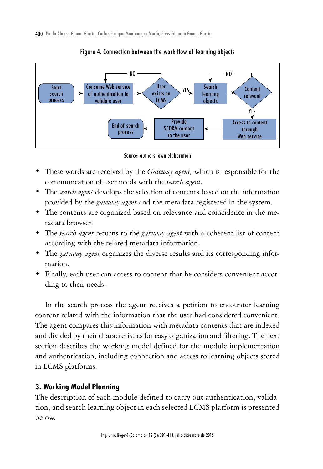

Figure 4. Connection between the work flow of learning bbjects



- These words are received by the *Gateway agent*, which is responsible for the communication of user needs with the *search agent.*
- The *search agent* develops the selection of contents based on the information provided by the *gateway agent* and the metadata registered in the system.
- The contents are organized based on relevance and coincidence in the metadata browser.
- • The *search agent* returns to the *gateway agent* with a coherent list of content according with the related metadata information.
- The *gateway agent* organizes the diverse results and its corresponding information.
- Finally, each user can access to content that he considers convenient according to their needs.

In the search process the agent receives a petition to encounter learning content related with the information that the user had considered convenient. The agent compares this information with metadata contents that are indexed and divided by their characteristics for easy organization and filtering. The next section describes the working model defined for the module implementation and authentication, including connection and access to learning objects stored in LCMS platforms.

#### **3. Working Model Planning**

The description of each module defined to carry out authentication, validation, and search learning object in each selected LCMS platform is presented below.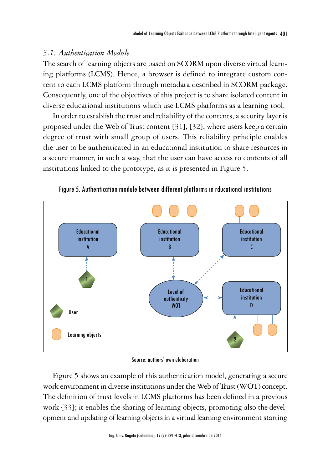#### *3.1. Authentication Module*

The search of learning objects are based on SCORM upon diverse virtual learning platforms (LCMS). Hence, a browser is defined to integrate custom content to each LCMS platform through metadata described in SCORM package. Consequently, one of the objectives of this project is to share isolated content in diverse educational institutions which use LCMS platforms as a learning tool.

In order to establish the trust and reliability of the contents, a security layer is proposed under the Web of Trust content [31], [32], where users keep a certain degree of trust with small group of users. This reliability principle enables the user to be authenticated in an educational institution to share resources in a secure manner, in such a way, that the user can have access to contents of all institutions linked to the prototype, as it is presented in Figure 5.



Figure 5. Authentication module between different platforms in rducational institutions

Source: authors' own elaboration

Figure 5 shows an example of this authentication model, generating a secure work environment in diverse institutions under the Web of Trust (WOT) concept. The definition of trust levels in LCMS platforms has been defined in a previous work [33]; it enables the sharing of learning objects, promoting also the development and updating of learning objects in a virtual learning environment starting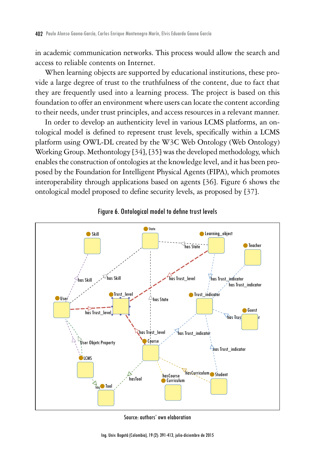in academic communication networks. This process would allow the search and access to reliable contents on Internet.

When learning objects are supported by educational institutions, these provide a large degree of trust to the truthfulness of the content, due to fact that they are frequently used into a learning process. The project is based on this foundation to offer an environment where users can locate the content according to their needs, under trust principles, and access resources in a relevant manner.

In order to develop an authenticity level in various LCMS platforms, an ontological model is defined to represent trust levels, specifically within a LCMS platform using OWL-DL created by the W3C Web Ontology (Web Ontology) Working Group. Methontology [34], [35] was the developed methodology, which enables the construction of ontologies at the knowledge level, and it has been proposed by the Foundation for Intelligent Physical Agents (FIPA), which promotes interoperability through applications based on agents [36]. Figure 6 shows the ontological model proposed to define security levels, as proposed by [37].





Source: authors' own elaboration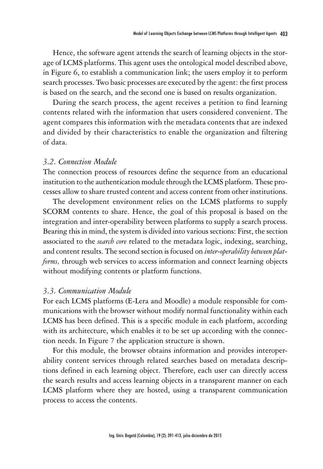Hence, the software agent attends the search of learning objects in the storage of LCMS platforms. This agent uses the ontological model described above, in Figure 6, to establish a communication link; the users employ it to perform search processes. Two basic processes are executed by the agent: the first process is based on the search, and the second one is based on results organization.

During the search process, the agent receives a petition to find learning contents related with the information that users considered convenient. The agent compares this information with the metadata contents that are indexed and divided by their characteristics to enable the organization and filtering of data.

#### *3.2. Connection Module*

The connection process of resources define the sequence from an educational institution to the authentication module through the LCMS platform. These processes allow to share trusted content and access content from other institutions.

The development environment relies on the LCMS platforms to supply SCORM contents to share. Hence, the goal of this proposal is based on the integration and inter-operability between platforms to supply a search process. Bearing this in mind, the system is divided into various sections: First, the section associated to the *search core* related to the metadata logic, indexing, searching, and content results. The second section is focused on *inter-operability between platforms,* through web services to access information and connect learning objects without modifying contents or platform functions.

### *3.3. Communication Module*

For each LCMS platforms (E-Lera and Moodle) a module responsible for communications with the browser without modify normal functionality within each LCMS has been defined. This is a specific module in each platform, according with its architecture, which enables it to be set up according with the connection needs. In Figure 7 the application structure is shown.

For this module, the browser obtains information and provides interoperability content services through related searches based on metadata descriptions defined in each learning object. Therefore, each user can directly access the search results and access learning objects in a transparent manner on each LCMS platform where they are hosted, using a transparent communication process to access the contents.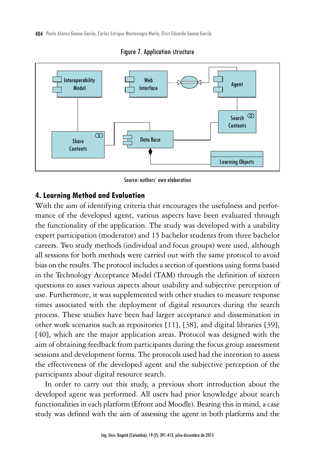404 Paulo Alonso Gaona-García, Carlos Enrique Montenegro Marín, Elvis Eduardo Gaona García



Figure 7. Application structure

Source: authors' own elaboration

#### **4. Learning Method and Evaluation**

With the aim of identifying criteria that encourages the usefulness and performance of the developed agent, various aspects have been evaluated through the functionality of the application. The study was developed with a usability expert participation (moderator) and 15 bachelor students from three bachelor careers. Two study methods (individual and focus groups) were used, although all sessions for both methods were carried out with the same protocol to avoid bias on the results. The protocol includes a section of questions using forms based in the Technology Acceptance Model (TAM) through the definition of sixteen questions to asses various aspects about usability and subjective perception of use. Furthermore, it was supplemented with other studies to measure response times associated with the deployment of digital resources during the search process. These studies have been had larger acceptance and dissemination in other work scenarios such as repositories [11], [38], and digital libraries [39], [40], which are the major application areas. Protocol was designed with the aim of obtaining feedback from participants during the focus group assessment sessions and development forms. The protocols used had the intention to assess the effectiveness of the developed agent and the subjective perception of the participants about digital resource search.

In order to carry out this study, a previous short introduction about the developed agent was performed. All users had prior knowledge about search functionalities in each platform (Efront and Moodle). Bearing this in mind, a case study was defined with the aim of assessing the agent in both platforms and the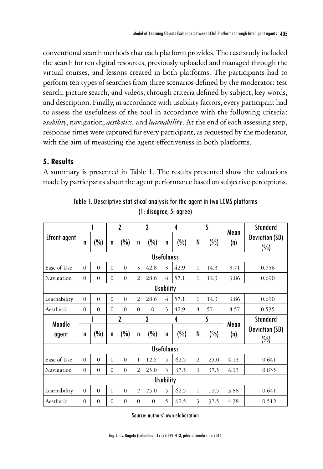conventional search methods that each platform provides. The case study included the search for ten digital resources, previously uploaded and managed through the virtual courses, and lessons created in both platforms. The participants had to perform ten types of searches from three scenarios defined by the moderator: test search, picture search, and videos, through criteria defined by subject, key words, and description. Finally, in accordance with usability factors, every participant had to assess the usefulness of the tool in accordance with the following criteria: *usability*, navigation, *aesthetics,* and *learnability*. At the end of each assessing step, response times were captured for every participant, as requested by the moderator, with the aim of measuring the agent effectiveness in both platforms.

## **5. Results**

A summary is presented in Table 1. The results presented show the valuations made by participants about the agent performance based on subjective perceptions.

|                   |          |          | $\mathbf 2$ |          | 3              |          | 4              |      | 5              |      |             | Standard                     |
|-------------------|----------|----------|-------------|----------|----------------|----------|----------------|------|----------------|------|-------------|------------------------------|
| Efront agent      | n        | (%)      | n           | (%)      | n              | $(\%)$   | n              | (%)  | N              | (%)  | Mean<br>(n) | <b>Deviation (SD)</b><br>(%) |
| <b>Usefulness</b> |          |          |             |          |                |          |                |      |                |      |             |                              |
| Ease of Use       | $\Omega$ | $\Omega$ | $\Omega$    | $\Omega$ | 3              | 42.8     | 3              | 42.9 | 1              | 14.3 | 3.71        | 0.756                        |
| Navigation        | $\Omega$ | $\Omega$ | $\Omega$    | $\Omega$ | $\overline{2}$ | 28.6     | 4              | 57.1 | 1              | 14.3 | 3.86        | 0.690                        |
| <b>Usability</b>  |          |          |             |          |                |          |                |      |                |      |             |                              |
| Learnability      | $\Omega$ | $\Omega$ | $\Omega$    | $\Omega$ | $\overline{2}$ | 28.6     | $\overline{4}$ | 57.1 | $\mathbf{1}$   | 14.3 | 3.86        | 0.690                        |
| Aesthetic         | $\Omega$ | $\Omega$ | $\Omega$    | $\Omega$ | $\Omega$       | $\Omega$ | 3              | 42.9 | $\overline{4}$ | 57.1 | 4.57        | 0.535                        |
| Moodle<br>agent   |          |          | 2           |          | 3              |          | 4              |      | 5              |      | Mean        | <b>Standard</b>              |
|                   | n        | (%)      | n           | (%)      | n              | (%)      | n              | (%)  | N              | (%)  | (n)         | <b>Deviation (SD)</b><br>(%) |
| <b>Usefulness</b> |          |          |             |          |                |          |                |      |                |      |             |                              |
| Ease of Use       | $\Omega$ | $\Omega$ | $\Omega$    | $\Omega$ | 1              | 12.5     | 5              | 62.5 | $\overline{2}$ | 25.0 | 4.13        | 0.641                        |
| Navigation        | $\Omega$ | $\Omega$ | $\Omega$    | $\Omega$ | $\overline{2}$ | 25.0     | 3              | 37.5 | 3              | 37.5 | 4.13        | 0.835                        |
| <b>Usability</b>  |          |          |             |          |                |          |                |      |                |      |             |                              |
| Learnability      | $\Omega$ | $\Omega$ | $\Omega$    | $\Omega$ | $\overline{2}$ | 25.0     | 5              | 62.5 | 1              | 12.5 | 3.88        | 0.641                        |
| Aesthetic         | $\Omega$ | $\Omega$ | $\Omega$    | $\Omega$ | $\Omega$       | $\Omega$ | 5              | 62.5 | 3              | 37.5 | 4.38        | 0.512                        |

Table 1. Descriptive statistical analysis for the agent in two LCMS platforms (1: disagree, 5: agree)

Source: authors' own elaboration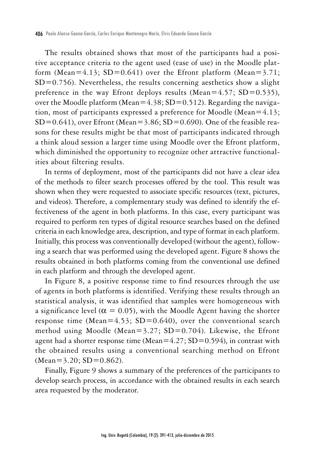The results obtained shows that most of the participants had a positive acceptance criteria to the agent used (ease of use) in the Moodle platform (Mean=4.13; SD=0.641) over the Efront platform (Mean=3.71;  $SD=0.756$ ). Nevertheless, the results concerning aesthetics show a slight preference in the way Efront deploys results (Mean=4.57; SD=0.535), over the Moodle platform (Mean=4.38;  $SD=0.512$ ). Regarding the navigation, most of participants expressed a preference for Moodle (Mean=4.13;  $SD=0.641$ , over Efront (Mean=3.86;  $SD=0.690$ ). One of the feasible reasons for these results might be that most of participants indicated through a think aloud session a larger time using Moodle over the Efront platform, which diminished the opportunity to recognize other attractive functionalities about filtering results.

In terms of deployment, most of the participants did not have a clear idea of the methods to filter search processes offered by the tool. This result was shown when they were requested to associate specific resources (text, pictures, and videos). Therefore, a complementary study was defined to identify the effectiveness of the agent in both platforms. In this case, every participant was required to perform ten types of digital resource searches based on the defined criteria in each knowledge area, description, and type of format in each platform. Initially, this process was conventionally developed (without the agent), following a search that was performed using the developed agent. Figure 8 shows the results obtained in both platforms coming from the conventional use defined in each platform and through the developed agent.

In Figure 8, a positive response time to find resources through the use of agents in both platforms is identified. Verifying these results through an statistical analysis, it was identified that samples were homogeneous with a significance level ( $\alpha = 0.05$ ), with the Moodle Agent having the shorter response time (Mean=4.53; SD=0.640), over the conventional search method using Moodle (Mean= $3.27$ ; SD=0.704). Likewise, the Efront agent had a shorter response time (Mean= $4.27$ ; SD=0.594), in contrast with the obtained results using a conventional searching method on Efront (Mean=3.20; SD=0.862).

Finally, Figure 9 shows a summary of the preferences of the participants to develop search process, in accordance with the obtained results in each search area requested by the moderator.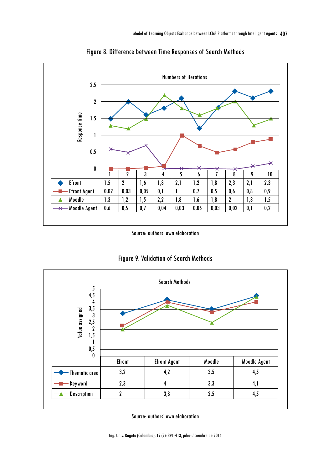

Figure 8. Difference between Time Responses of Search Methods

Source: authors' own elaboration





Source: authors' own elaboration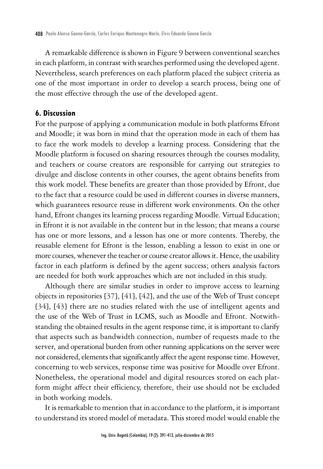A remarkable difference is shown in Figure 9 between conventional searches in each platform, in contrast with searches performed using the developed agent. Nevertheless, search preferences on each platform placed the subject criteria as one of the most important in order to develop a search process, being one of the most effective through the use of the developed agent.

#### **6. Discussion**

For the purpose of applying a communication module in both platforms Efront and Moodle; it was born in mind that the operation mode in each of them has to face the work models to develop a learning process. Considering that the Moodle platform is focused on sharing resources through the courses modality, and teachers or course creators are responsible for carrying out strategies to divulge and disclose contents in other courses, the agent obtains benefits from this work model. These benefits are greater than those provided by Efront, due to the fact that a resource could be used in different courses in diverse manners, which guarantees resource reuse in different work environments. On the other hand, Efront changes its learning process regarding Moodle. Virtual Education; in Efront it is not available in the content but in the lesson; that means a course has one or more lessons, and a lesson has one or more contents. Thereby, the reusable element for Efront is the lesson, enabling a lesson to exist in one or more courses, whenever the teacher or course creator allows it. Hence, the usability factor in each platform is defined by the agent success; others analysis factors are needed for both work approaches which are not included in this study.

Although there are similar studies in order to improve access to learning objects in repositories [37], [41], [42], and the use of the Web of Trust concept [34], [43] there are no studies related with the use of intelligent agents and the use of the Web of Trust in LCMS, such as Moodle and Efront. Notwithstanding the obtained results in the agent response time, it is important to clarify that aspects such as bandwidth connection, number of requests made to the server, and operational burden from other running applications on the server were not considered, elements that significantly affect the agent response time. However, concerning to web services, response time was positive for Moodle over Efront. Nonetheless, the operational model and digital resources stored on each platform might affect their efficiency, therefore, their use should not be excluded in both working models.

It is remarkable to mention that in accordance to the platform, it is important to understand its stored model of metadata. This stored model would enable the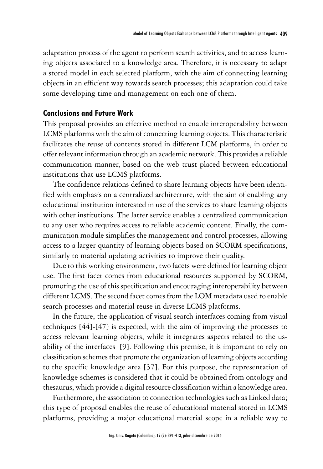adaptation process of the agent to perform search activities, and to access learning objects associated to a knowledge area. Therefore, it is necessary to adapt a stored model in each selected platform, with the aim of connecting learning objects in an efficient way towards search processes; this adaptation could take some developing time and management on each one of them.

#### **Conclusions and Future Work**

This proposal provides an effective method to enable interoperability between LCMS platforms with the aim of connecting learning objects. This characteristic facilitates the reuse of contents stored in different LCM platforms, in order to offer relevant information through an academic network. This provides a reliable communication manner, based on the web trust placed between educational institutions that use LCMS platforms.

The confidence relations defined to share learning objects have been identified with emphasis on a centralized architecture, with the aim of enabling any educational institution interested in use of the services to share learning objects with other institutions. The latter service enables a centralized communication to any user who requires access to reliable academic content. Finally, the communication module simplifies the management and control processes, allowing access to a larger quantity of learning objects based on SCORM specifications, similarly to material updating activities to improve their quality.

Due to this working environment, two facets were defined for learning object use. The first facet comes from educational resources supported by SCORM, promoting the use of this specification and encouraging interoperability between different LCMS. The second facet comes from the LOM metadata used to enable search processes and material reuse in diverse LCMS platforms.

In the future, the application of visual search interfaces coming from visual techniques [44]-[47] is expected, with the aim of improving the processes to access relevant learning objects, while it integrates aspects related to the usability of the interfaces [9]. Following this premise, it is important to rely on classification schemes that promote the organization of learning objects according to the specific knowledge area [37]. For this purpose, the representation of knowledge schemes is considered that it could be obtained from ontology and thesaurus, which provide a digital resource classification within a knowledge area.

Furthermore, the association to connection technologies such as Linked data; this type of proposal enables the reuse of educational material stored in LCMS platforms, providing a major educational material scope in a reliable way to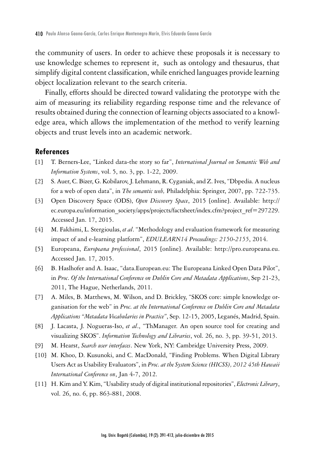the community of users. In order to achieve these proposals it is necessary to use knowledge schemes to represent it, such as ontology and thesaurus, that simplify digital content classification, while enriched languages provide learning object localization relevant to the search criteria.

Finally, efforts should be directed toward validating the prototype with the aim of measuring its reliability regarding response time and the relevance of results obtained during the connection of learning objects associated to a knowledge area, which allows the implementation of the method to verify learning objects and trust levels into an academic network.

#### **References**

- [1] T. Berners-Lee, "Linked data-the story so far", *International Journal on Semantic Web and Information Systems*, vol. 5, no. 3, pp. 1-22, 2009.
- [2] S. Auer, C. Bizer, G. Kobilarov, J. Lehmann, R. Cyganiak, and Z. Ives, "Dbpedia. A nucleus for a web of open data", in *The semantic web,* Philadelphia: Springer, 2007, pp. 722-735.
- [3] Open Discovery Space (ODS), *Open Discovery Space*, 2015 [online]. Available: http:// ec.europa.eu/information\_society/apps/projects/factsheet/index.cfm?project\_ref=297229. Accessed Jan. 17, 2015.
- [4] M. Fakhimi, L. Stergioulas, *et al*. "Methodology and evaluation framework for measuring impact of and e-learning platform", *EDULEARN14 Proceedings: 2150-2155*, 2014.
- [5] Europeana, *Europeana professional*, 2015 [online]. Available: http://pro.europeana.eu. Accessed Jan. 17, 2015.
- [6] B. Haslhofer and A. Isaac, "data.European.eu: The Europeana Linked Open Data Pilot", in *Proc. Of the International Conference on Dublin Core and Metadata Applications*, Sep 21-23, 2011, The Hague, Netherlands, 2011.
- [7] A. Miles, B. Matthews, M. Wilson, and D. Brickley, "SKOS core: simple knowledge organisation for the web" in *Proc. at the International Conference on Dublin Core and Metadata Applications "Metadata Vocabularies in Practice"*, Sep. 12-15, 2005, Leganés, Madrid, Spain.
- [8] J. Lacasta, J. Nogueras-Iso, *et al*., "ThManager. An open source tool for creating and visualizing SKOS". *Information Technology and Libraries*, vol. 26, no. 3, pp. 39-51, 2013.
- [9] M. Hearst, *Search user interfaces*. New York, NY: Cambridge University Press, 2009.
- [10] M. Khoo, D. Kusunoki, and C. MacDonald, "Finding Problems. When Digital Library Users Act as Usability Evaluators", in *Proc. at the System Science (HICSS), 2012 45th Hawaii International Conference on*, Jan 4-7, 2012.
- [11] H. Kim and Y. Kim, "Usability study of digital institutional repositories", *Electronic Library*, vol. 26, no. 6, pp. 863-881, 2008.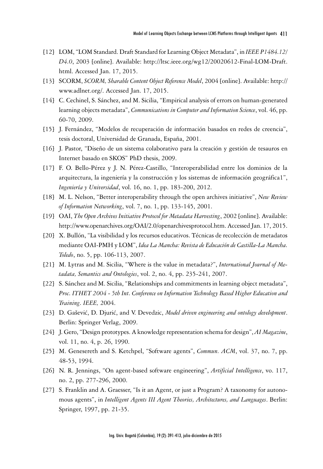- [12] LOM, "LOM Standard. Draft Standard for Learning Object Metadata", in *IEEE P1484.12/ D4.0*, 2003 [online]. Available: http://ltsc.ieee.org/wg12/20020612-Final-LOM-Draft. html. Accessed Jan. 17, 2015.
- [13] SCORM, *SCORM, Sharable Content Object Reference Model*, 2004 [online]. Available: http:// www.adlnet.org/. Accessed Jan. 17, 2015.
- [14] C. Cechinel, S. Sánchez, and M. Sicilia, "Empirical analysis of errors on human-generated learning objects metadata", *Communications in Computer and Information Science*, vol. 46, pp. 60-70, 2009.
- [15] J. Fernández, "Modelos de recuperación de información basados en redes de creencia", tesis doctoral, Universidad de Granada, España, 2001.
- [16] J. Pastor, "Diseño de un sistema colaborativo para la creación y gestión de tesauros en Internet basado en SKOS" PhD thesis, 2009.
- [17] F. O. Bello-Pérez y J. N. Pérez-Castillo, "Interoperabilidad entre los dominios de la arquitectura, la ingeniería y la construcción y los sistemas de información geográfica1", *Ingeniería y Universidad*, vol. 16, no. 1, pp. 183-200, 2012.
- [18] M. L. Nelson, "Better interoperability through the open archives initiative", *New Review of Information Networking*, vol. 7, no. 1, pp. 133-145, 2001.
- [19] OAI, *The Open Archives Initiative Protocol for Metadata Harvesting*, 2002 [online]. Available: http://www.openarchives.org/OAI/2.0/openarchivesprotocol.htm. Accessed Jan. 17, 2015.
- [20] X. Bullón, "La visibilidad y los recursos educativos. Técnicas de recolección de metadatos mediante OAI-PMH y LOM", *Idea La Mancha: Revista de Educación de Castilla-La Mancha. Toledo*, no. 5, pp. 106-113, 2007.
- [21] M. Lytras and M. Sicilia, "Where is the value in metadata?", *International Journal of Metadata, Semantics and Ontologies*, vol. 2, no. 4, pp. 235-241, 2007.
- [22] S. Sánchez and M. Sicilia, "Relationships and commitments in learning object metadata", *Proc. ITHET 2004 - 5th Int. Conference on Information Technology Based Higher Education and Training. IEEE,* 2004.
- [23] D. Gašević, D. Djurić, and V. Devedzic, *Model driven engineering and ontology development*. Berlin: Springer Verlag, 2009.
- [24] J. Gero, "Design prototypes. A knowledge representation schema for design", *AI Magazine*, vol. 11, no. 4, p. 26, 1990.
- [25] M. Genesereth and S. Ketchpel, "Software agents", *Commun. ACM*, vol. 37, no. 7, pp. 48-53, 1994.
- [26] N. R. Jennings, "On agent-based software engineering", *Artificial Intelligence*, vo. 117, no. 2, pp. 277-296, 2000.
- [27] S. Franklin and A. Graesser, "Is it an Agent, or just a Program? A taxonomy for autonomous agents", in *Intelligent Agents III Agent Theories, Architectures, and Languages*. Berlin: Springer, 1997, pp. 21-35.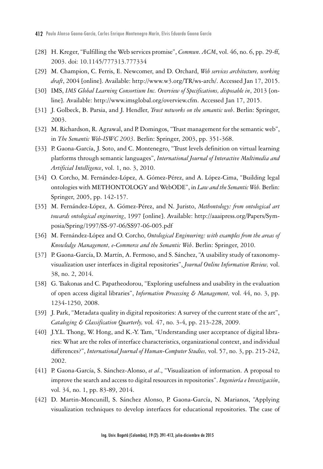- [28] H. Kreger, "Fulfilling the Web services promise", *Commun. ACM*, vol. 46, no. 6, pp. 29-ff, 2003. doi: 10.1145/777313.777334
- [29] M. Champion, C. Ferris, E. Newcomer, and D. Orchard, *Web services architecture, working draft*, 2004 [online]. Available: http://www.w3.org/TR/ws-arch/. Accessed Jan 17, 2015.
- [30] IMS, *IMS Global Learning Consortium Inc. Overview of Specifications, disposable in*, 2013 [online]. Available: http://www.imsglobal.org/overview.cfm. Accessed Jan 17, 2015.
- [31] J. Golbeck, B. Parsia, and J. Hendler, *Trust networks on the semantic web*. Berlin: Springer, 2003.
- [32] M. Richardson, R. Agrawal, and P. Domingos, "Trust management for the semantic web", in *The Semantic Web-ISWC 2003.* Berlin: Springer, 2003, pp. 351-368.
- [33] P. Gaona-García, J. Soto, and C. Montenegro, "Trust levels definition on virtual learning platforms through semantic languages", *International Journal of Interactive Multimedia and Artificial Intelligence*, vol. 1, no. 3, 2010.
- [34] O. Corcho, M. Fernández-López, A. Gómez-Pérez, and A. López-Cima, "Building legal ontologies with METHONTOLOGY and WebODE", in *Law and the Semantic Web.* Berlin: Springer, 2005, pp. 142-157.
- [35] M. Fernández-López, A. Gómez-Pérez, and N. Juristo, *Methontology: from ontological art towards ontological engineering*, 1997 [online]. Available: http://aaaipress.org/Papers/Symposia/Spring/1997/SS-97-06/SS97-06-005.pdf
- [36] M. Fernández-López and O. Corcho, *Ontological Engineering: with examples from the areas of Knowledge Management, e-Commerce and the Semantic Web*. Berlin: Springer, 2010.
- [37] P. Gaona-García, D. Martín, A. Fermoso, and S. Sánchez, "A usability study of taxonomyvisualization user interfaces in digital repositories", *Journal Online Information Review,* vol. 38, no. 2, 2014.
- [38] G. Tsakonas and C. Papatheodorou, "Exploring usefulness and usability in the evaluation of open access digital libraries", *Information Processing & Management,* vol. 44, no. 3, pp. 1234-1250, 2008.
- [39] J. Park, "Metadata quality in digital repositories: A survey of the current state of the art", *Cataloging & Classification Quarterly,* vol*.* 47, no. 3-4, pp. 213-228, 2009.
- [40] J.Y.L. Thong, W. Hong, and K.-Y. Tam, "Understanding user acceptance of digital libraries: What are the roles of interface characteristics, organizational context, and individual differences?", *International Journal of Human-Computer Studies,* vol. 57, no. 3, pp. 215-242, 2002.
- [41] P. Gaona-García, S. Sánchez-Alonso, *et al*., "Visualization of information. A proposal to improve the search and access to digital resources in repositories". *Ingeniería e Investigación*, vol. 34, no. 1, pp. 83-89, 2014.
- [42] D. Martin-Moncunill, S. Sánchez Alonso, P. Gaona-García, N. Marianos, "Applying visualization techniques to develop interfaces for educational repositories. The case of